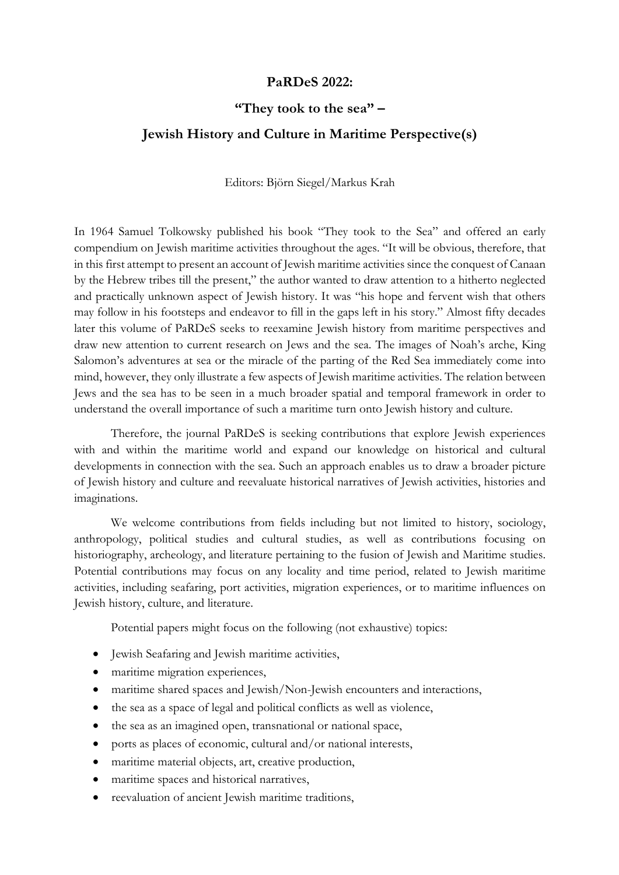## **PaRDeS 2022:**

## **"They took to the sea" –**

## **Jewish History and Culture in Maritime Perspective(s)**

Editors: Björn Siegel/Markus Krah

In 1964 Samuel Tolkowsky published his book "They took to the Sea" and offered an early compendium on Jewish maritime activities throughout the ages. "It will be obvious, therefore, that in this first attempt to present an account of Jewish maritime activities since the conquest of Canaan by the Hebrew tribes till the present," the author wanted to draw attention to a hitherto neglected and practically unknown aspect of Jewish history. It was "his hope and fervent wish that others may follow in his footsteps and endeavor to fill in the gaps left in his story." Almost fifty decades later this volume of PaRDeS seeks to reexamine Jewish history from maritime perspectives and draw new attention to current research on Jews and the sea. The images of Noah's arche, King Salomon's adventures at sea or the miracle of the parting of the Red Sea immediately come into mind, however, they only illustrate a few aspects of Jewish maritime activities. The relation between Jews and the sea has to be seen in a much broader spatial and temporal framework in order to understand the overall importance of such a maritime turn onto Jewish history and culture.

Therefore, the journal PaRDeS is seeking contributions that explore Jewish experiences with and within the maritime world and expand our knowledge on historical and cultural developments in connection with the sea. Such an approach enables us to draw a broader picture of Jewish history and culture and reevaluate historical narratives of Jewish activities, histories and imaginations.

We welcome contributions from fields including but not limited to history, sociology, anthropology, political studies and cultural studies, as well as contributions focusing on historiography, archeology, and literature pertaining to the fusion of Jewish and Maritime studies. Potential contributions may focus on any locality and time period, related to Jewish maritime activities, including seafaring, port activities, migration experiences, or to maritime influences on Jewish history, culture, and literature.

Potential papers might focus on the following (not exhaustive) topics:

- Jewish Seafaring and Jewish maritime activities,
- maritime migration experiences,
- maritime shared spaces and Jewish/Non-Jewish encounters and interactions,
- the sea as a space of legal and political conflicts as well as violence,
- the sea as an imagined open, transnational or national space,
- ports as places of economic, cultural and/or national interests,
- maritime material objects, art, creative production,
- maritime spaces and historical narratives,
- reevaluation of ancient Jewish maritime traditions,